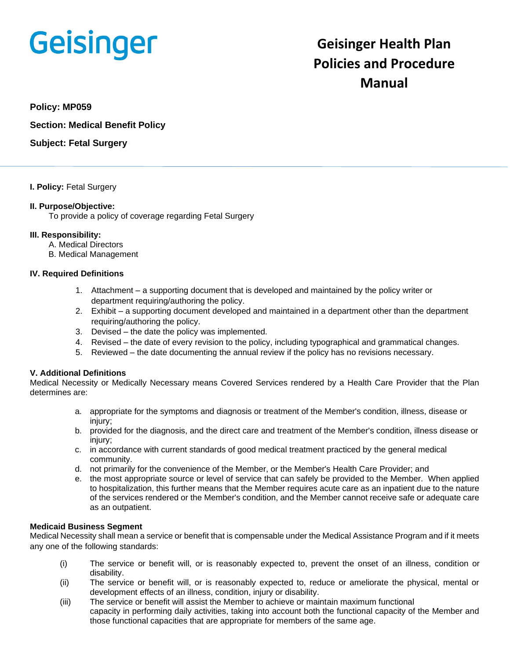# **Geisinger**

# **Geisinger Health Plan Policies and Procedure Manual**

# **Policy: MP059**

**Section: Medical Benefit Policy**

**Subject: Fetal Surgery**

#### **I. Policy:** Fetal Surgery

#### **II. Purpose/Objective:**

To provide a policy of coverage regarding Fetal Surgery

#### **III. Responsibility:**

- A. Medical Directors
- B. Medical Management

#### **IV. Required Definitions**

- 1. Attachment a supporting document that is developed and maintained by the policy writer or department requiring/authoring the policy.
- 2. Exhibit a supporting document developed and maintained in a department other than the department requiring/authoring the policy.
- 3. Devised the date the policy was implemented.
- 4. Revised the date of every revision to the policy, including typographical and grammatical changes.
- 5. Reviewed the date documenting the annual review if the policy has no revisions necessary.

#### **V. Additional Definitions**

Medical Necessity or Medically Necessary means Covered Services rendered by a Health Care Provider that the Plan determines are:

- a. appropriate for the symptoms and diagnosis or treatment of the Member's condition, illness, disease or injury;
- b. provided for the diagnosis, and the direct care and treatment of the Member's condition, illness disease or iniury:
- c. in accordance with current standards of good medical treatment practiced by the general medical community.
- d. not primarily for the convenience of the Member, or the Member's Health Care Provider; and
- e. the most appropriate source or level of service that can safely be provided to the Member. When applied to hospitalization, this further means that the Member requires acute care as an inpatient due to the nature of the services rendered or the Member's condition, and the Member cannot receive safe or adequate care as an outpatient.

#### **Medicaid Business Segment**

Medical Necessity shall mean a service or benefit that is compensable under the Medical Assistance Program and if it meets any one of the following standards:

- (i) The service or benefit will, or is reasonably expected to, prevent the onset of an illness, condition or disability.
- (ii) The service or benefit will, or is reasonably expected to, reduce or ameliorate the physical, mental or development effects of an illness, condition, injury or disability.
- (iii) The service or benefit will assist the Member to achieve or maintain maximum functional capacity in performing daily activities, taking into account both the functional capacity of the Member and those functional capacities that are appropriate for members of the same age.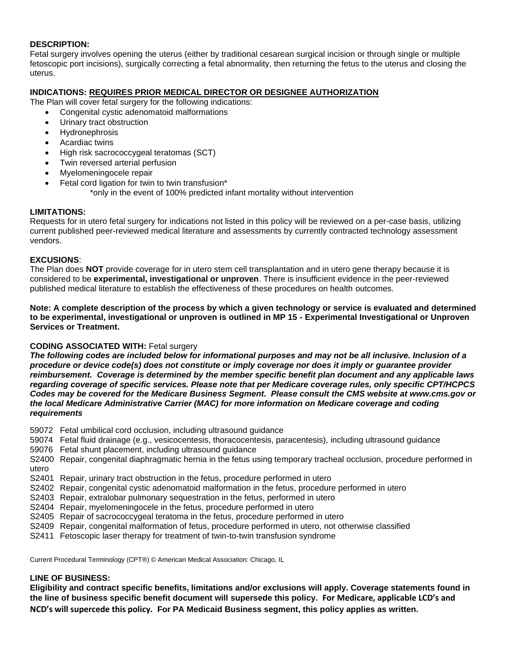#### **DESCRIPTION:**

Fetal surgery involves opening the uterus (either by traditional cesarean surgical incision or through single or multiple fetoscopic port incisions), surgically correcting a fetal abnormality, then returning the fetus to the uterus and closing the uterus.

# **INDICATIONS: REQUIRES PRIOR MEDICAL DIRECTOR OR DESIGNEE AUTHORIZATION**

The Plan will cover fetal surgery for the following indications:

- Congenital cystic adenomatoid malformations
- Urinary tract obstruction
- **Hydronephrosis**
- Acardiac twins
- High risk sacrococcygeal teratomas (SCT)
- Twin reversed arterial perfusion
- Myelomeningocele repair
- Fetal cord ligation for twin to twin transfusion\*
	- \*only in the event of 100% predicted infant mortality without intervention

# **LIMITATIONS:**

Requests for in utero fetal surgery for indications not listed in this policy will be reviewed on a per-case basis, utilizing current published peer-reviewed medical literature and assessments by currently contracted technology assessment vendors.

#### **EXCUSIONS**:

The Plan does **NOT** provide coverage for in utero stem cell transplantation and in utero gene therapy because it is considered to be **experimental, investigational or unproven**. There is insufficient evidence in the peer-reviewed published medical literature to establish the effectiveness of these procedures on health outcomes.

**Note: A complete description of the process by which a given technology or service is evaluated and determined to be experimental, investigational or unproven is outlined in MP 15 - Experimental Investigational or Unproven Services or Treatment.** 

#### **CODING ASSOCIATED WITH:** Fetal surgery

*The following codes are included below for informational purposes and may not be all inclusive. Inclusion of a procedure or device code(s) does not constitute or imply coverage nor does it imply or guarantee provider reimbursement. Coverage is determined by the member specific benefit plan document and any applicable laws regarding coverage of specific services. Please note that per Medicare coverage rules, only specific CPT/HCPCS Codes may be covered for the Medicare Business Segment. Please consult the CMS website at www.cms.gov or the local Medicare Administrative Carrier (MAC) for more information on Medicare coverage and coding requirements*

- 59072 Fetal umbilical cord occlusion, including ultrasound guidance
- 59074 Fetal fluid drainage (e.g., vesicocentesis, thoracocentesis, paracentesis), including ultrasound guidance
- 59076 Fetal shunt placement, including ultrasound guidance
- S2400 Repair, congenital diaphragmatic hernia in the fetus using temporary tracheal occlusion, procedure performed in utero
- S2401 Repair, urinary tract obstruction in the fetus, procedure performed in utero
- S2402 Repair, congenital cystic adenomatoid malformation in the fetus, procedure performed in utero
- S2403 Repair, extralobar pulmonary sequestration in the fetus, performed in utero
- S2404 Repair, myelomeningocele in the fetus, procedure performed in utero
- S2405 Repair of sacrococcygeal teratoma in the fetus, procedure performed in utero
- S2409 Repair, congenital malformation of fetus, procedure performed in utero, not otherwise classified
- S2411 Fetoscopic laser therapy for treatment of twin-to-twin transfusion syndrome

Current Procedural Terminology (CPT®) © American Medical Association: Chicago, IL

#### **LINE OF BUSINESS:**

**Eligibility and contract specific benefits, limitations and/or exclusions will apply. Coverage statements found in the line of business specific benefit document will supersede this policy. For Medicare, applicable LCD's and NCD's will supercede this policy. For PA Medicaid Business segment, this policy applies as written.**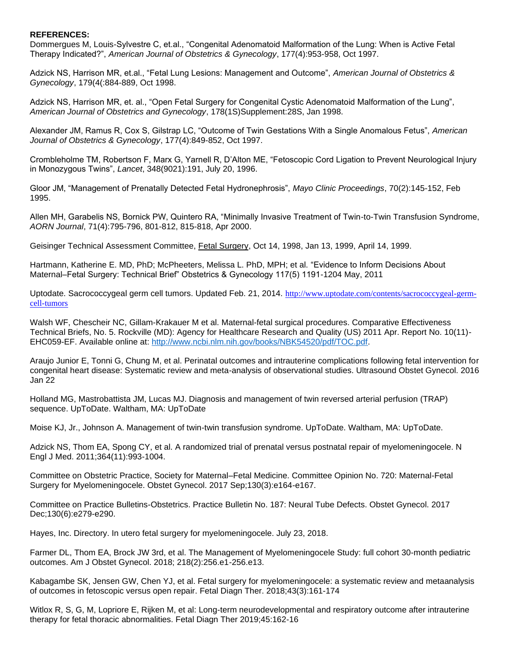#### **REFERENCES:**

Dommergues M, Louis-Sylvestre C, et.al., "Congenital Adenomatoid Malformation of the Lung: When is Active Fetal Therapy Indicated?", *American Journal of Obstetrics & Gynecology*, 177(4):953-958, Oct 1997.

Adzick NS, Harrison MR, et.al., "Fetal Lung Lesions: Management and Outcome", *American Journal of Obstetrics & Gynecology*, 179(4(:884-889, Oct 1998.

Adzick NS, Harrison MR, et. al., "Open Fetal Surgery for Congenital Cystic Adenomatoid Malformation of the Lung", *American Journal of Obstetrics and Gynecology*, 178(1S)Supplement:28S, Jan 1998.

Alexander JM, Ramus R, Cox S, Gilstrap LC, "Outcome of Twin Gestations With a Single Anomalous Fetus", *American Journal of Obstetrics & Gynecology*, 177(4):849-852, Oct 1997.

Crombleholme TM, Robertson F, Marx G, Yarnell R, D'Alton ME, "Fetoscopic Cord Ligation to Prevent Neurological Injury in Monozygous Twins", *Lancet*, 348(9021):191, July 20, 1996.

Gloor JM, "Management of Prenatally Detected Fetal Hydronephrosis", *Mayo Clinic Proceedings*, 70(2):145-152, Feb 1995.

Allen MH, Garabelis NS, Bornick PW, Quintero RA, "Minimally Invasive Treatment of Twin-to-Twin Transfusion Syndrome, *AORN Journal*, 71(4):795-796, 801-812, 815-818, Apr 2000.

Geisinger Technical Assessment Committee, Fetal Surgery, Oct 14, 1998, Jan 13, 1999, April 14, 1999.

Hartmann, Katherine E. MD, PhD; McPheeters, Melissa L. PhD, MPH; et al. "Evidence to Inform Decisions About Maternal–Fetal Surgery: Technical Brief" Obstetrics & Gynecology 117(5) 1191-1204 May, 2011

Uptodate. Sacrococcygeal germ cell tumors. Updated Feb. 21, 2014. [http://www.uptodate.com/contents/sacrococcygeal-germ](http://www.uptodate.com/contents/sacrococcygeal-germ-cell-tumors)[cell-tumors](http://www.uptodate.com/contents/sacrococcygeal-germ-cell-tumors)

Walsh WF, Chescheir NC, Gillam-Krakauer M et al. Maternal-fetal surgical procedures. Comparative Effectiveness Technical Briefs, No. 5. Rockville (MD): Agency for Healthcare Research and Quality (US) 2011 Apr. Report No. 10(11)- EHC059-EF. Available online at: [http://www.ncbi.nlm.nih.gov/books/NBK54520/pdf/TOC.pdf.](http://www.ncbi.nlm.nih.gov/books/NBK54520/pdf/TOC.pdf)

Araujo Junior E, Tonni G, Chung M, et al. Perinatal outcomes and intrauterine complications following fetal intervention for congenital heart disease: Systematic review and meta-analysis of observational studies. Ultrasound Obstet Gynecol. 2016 Jan 22

Holland MG, Mastrobattista JM, Lucas MJ. Diagnosis and management of twin reversed arterial perfusion (TRAP) sequence. UpToDate. Waltham, MA: UpToDate

Moise KJ, Jr., Johnson A. Management of twin-twin transfusion syndrome. UpToDate. Waltham, MA: UpToDate.

Adzick NS, Thom EA, Spong CY, et al. A randomized trial of prenatal versus postnatal repair of myelomeningocele. N Engl J Med. 2011;364(11):993-1004.

Committee on Obstetric Practice, Society for Maternal–Fetal Medicine. Committee Opinion No. 720: Maternal-Fetal Surgery for Myelomeningocele. Obstet Gynecol. 2017 Sep;130(3):e164-e167.

Committee on Practice Bulletins-Obstetrics. Practice Bulletin No. 187: Neural Tube Defects. Obstet Gynecol. 2017 Dec;130(6):e279-e290.

Hayes, Inc. Directory. In utero fetal surgery for myelomeningocele. July 23, 2018.

Farmer DL, Thom EA, Brock JW 3rd, et al. The Management of Myelomeningocele Study: full cohort 30-month pediatric outcomes. Am J Obstet Gynecol. 2018; 218(2):256.e1-256.e13.

Kabagambe SK, Jensen GW, Chen YJ, et al. Fetal surgery for myelomeningocele: a systematic review and metaanalysis of outcomes in fetoscopic versus open repair. Fetal Diagn Ther. 2018;43(3):161-174

Witlox R, S, G, M, Lopriore E, Rijken M, et al: Long-term neurodevelopmental and respiratory outcome after intrauterine therapy for fetal thoracic abnormalities. Fetal Diagn Ther 2019;45:162-16